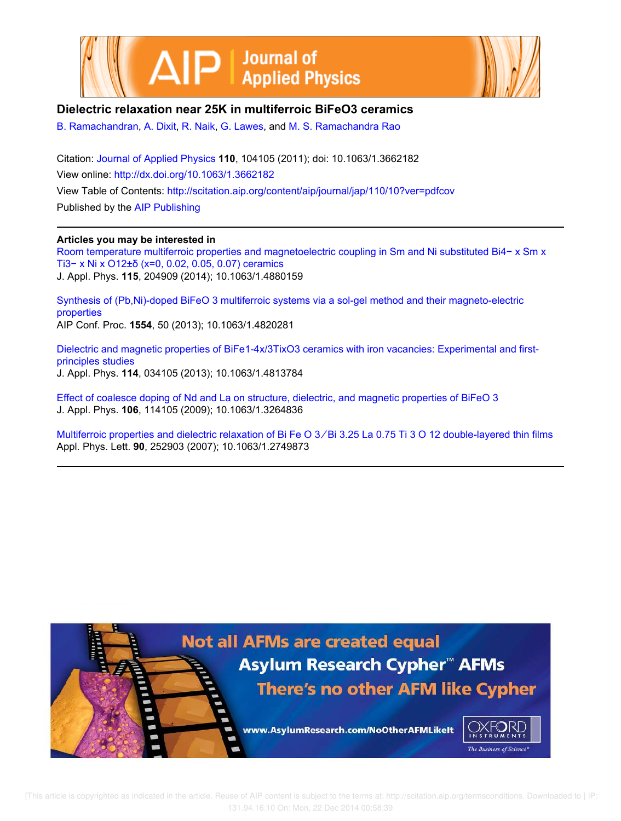



# **Dielectric relaxation near 25K in multiferroic BiFeO3 ceramics**

B. Ramachandran, A. Dixit, R. Naik, G. Lawes, and M. S. Ramachandra Rao

Citation: Journal of Applied Physics **110**, 104105 (2011); doi: 10.1063/1.3662182 View online: http://dx.doi.org/10.1063/1.3662182 View Table of Contents: http://scitation.aip.org/content/aip/journal/jap/110/10?ver=pdfcov Published by the AIP Publishing

### **Articles you may be interested in**

Room temperature multiferroic properties and magnetoelectric coupling in Sm and Ni substituted Bi4− x Sm x Ti3− x Ni x O12±δ (x=0, 0.02, 0.05, 0.07) ceramics J. Appl. Phys. **115**, 204909 (2014); 10.1063/1.4880159

Synthesis of (Pb,Ni)-doped BiFeO 3 multiferroic systems via a sol-gel method and their magneto-electric properties AIP Conf. Proc. **1554**, 50 (2013); 10.1063/1.4820281

Dielectric and magnetic properties of BiFe1-4x/3TixO3 ceramics with iron vacancies: Experimental and firstprinciples studies J. Appl. Phys. **114**, 034105 (2013); 10.1063/1.4813784

Effect of coalesce doping of Nd and La on structure, dielectric, and magnetic properties of BiFeO 3 J. Appl. Phys. **106**, 114105 (2009); 10.1063/1.3264836

Multiferroic properties and dielectric relaxation of Bi Fe O 3 ∕ Bi 3.25 La 0.75 Ti 3 O 12 double-layered thin films Appl. Phys. Lett. **90**, 252903 (2007); 10.1063/1.2749873

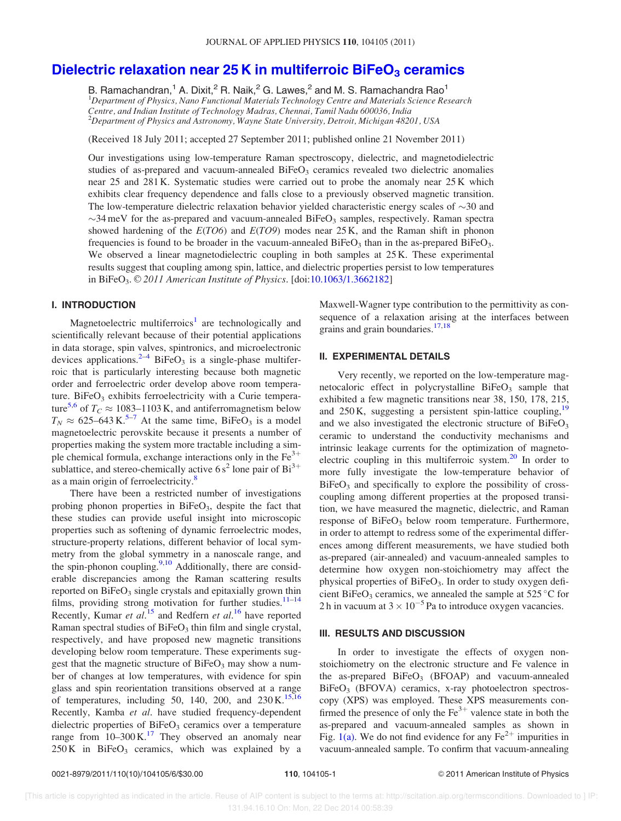# Dielectric relaxation near 25 K in multiferroic BiFeO $_3$  ceramics

B. Ramachandran,<sup>1</sup> A. Dixit,<sup>2</sup> R. Naik,<sup>2</sup> G. Lawes,<sup>2</sup> and M. S. Ramachandra Rao<sup>1</sup> <sup>1</sup>Department of Physics, Nano Functional Materials Technology Centre and Materials Science Research Centre, and Indian Institute of Technology Madras, Chennai, Tamil Nadu 600036, India  $^{2}$ Department of Physics and Astronomy, Wayne State University, Detroit, Michigan 48201, USA

(Received 18 July 2011; accepted 27 September 2011; published online 21 November 2011)

Our investigations using low-temperature Raman spectroscopy, dielectric, and magnetodielectric studies of as-prepared and vacuum-annealed  $B$ iFeO<sub>3</sub> ceramics revealed two dielectric anomalies near 25 and 281 K. Systematic studies were carried out to probe the anomaly near 25 K which exhibits clear frequency dependence and falls close to a previously observed magnetic transition. The low-temperature dielectric relaxation behavior yielded characteristic energy scales of  $\sim$ 30 and  $\sim$ 34 meV for the as-prepared and vacuum-annealed BiFeO<sub>3</sub> samples, respectively. Raman spectra showed hardening of the  $E(TO6)$  and  $E(TO9)$  modes near 25 K, and the Raman shift in phonon frequencies is found to be broader in the vacuum-annealed  $BiFeO<sub>3</sub>$  than in the as-prepared  $BiFeO<sub>3</sub>$ . We observed a linear magnetodielectric coupling in both samples at 25 K. These experimental results suggest that coupling among spin, lattice, and dielectric properties persist to low temperatures in BiFeO<sub>3</sub>.  $\odot$  2011 American Institute of Physics. [doi:10.1063/1.3662182]

### I. INTRODUCTION

Magnetoelectric multiferroics<sup>1</sup> are technologically and scientifically relevant because of their potential applications in data storage, spin valves, spintronics, and microelectronic devices applications.<sup>2-4</sup> BiFeO<sub>3</sub> is a single-phase multiferroic that is particularly interesting because both magnetic order and ferroelectric order develop above room temperature. BiFe $O_3$  exhibits ferroelectricity with a Curie temperature<sup>5,6</sup> of  $T_C \approx 1083 - 1103$  K, and antiferromagnetism below  $T_N \approx 625-643 \text{ K}^{5-7}$  At the same time, BiFeO<sub>3</sub> is a model magnetoelectric perovskite because it presents a number of properties making the system more tractable including a simple chemical formula, exchange interactions only in the  $Fe<sup>3+</sup>$ sublattice, and stereo-chemically active  $6s^2$  lone pair of  $Bi^{3+}$ as a main origin of ferroelectricity.<sup>8</sup>

There have been a restricted number of investigations probing phonon properties in BiFeO<sub>3</sub>, despite the fact that these studies can provide useful insight into microscopic properties such as softening of dynamic ferroelectric modes, structure-property relations, different behavior of local symmetry from the global symmetry in a nanoscale range, and the spin-phonon coupling. $9,10$  Additionally, there are considerable discrepancies among the Raman scattering results reported on  $BiFeO<sub>3</sub>$  single crystals and epitaxially grown thin films, providing strong motivation for further studies. $11-14$ Recently, Kumar et al.<sup>15</sup> and Redfern et al.<sup>16</sup> have reported Raman spectral studies of  $BiFeO<sub>3</sub>$  thin film and single crystal, respectively, and have proposed new magnetic transitions developing below room temperature. These experiments suggest that the magnetic structure of  $BiFeO<sub>3</sub>$  may show a number of changes at low temperatures, with evidence for spin glass and spin reorientation transitions observed at a range of temperatures, including 50, 140, 200, and  $230 \text{ K}$ .<sup>15,16</sup> Recently, Kamba et al. have studied frequency-dependent dielectric properties of  $BiFeO<sub>3</sub>$  ceramics over a temperature range from  $10-300 \text{ K}$ .<sup>17</sup> They observed an anomaly near  $250 K$  in BiFeO<sub>3</sub> ceramics, which was explained by a

Maxwell-Wagner type contribution to the permittivity as consequence of a relaxation arising at the interfaces between grains and grain boundaries.<sup>17,18</sup>

#### II. EXPERIMENTAL DETAILS

Very recently, we reported on the low-temperature magnetocaloric effect in polycrystalline  $BiFeO<sub>3</sub>$  sample that exhibited a few magnetic transitions near 38, 150, 178, 215, and  $250 \text{ K}$ , suggesting a persistent spin-lattice coupling,  $19$ and we also investigated the electronic structure of  $BiFeO<sub>3</sub>$ ceramic to understand the conductivity mechanisms and intrinsic leakage currents for the optimization of magnetoelectric coupling in this multiferroic system. $20$  In order to more fully investigate the low-temperature behavior of  $BiFeO<sub>3</sub>$  and specifically to explore the possibility of crosscoupling among different properties at the proposed transition, we have measured the magnetic, dielectric, and Raman response of  $BiFeO<sub>3</sub>$  below room temperature. Furthermore, in order to attempt to redress some of the experimental differences among different measurements, we have studied both as-prepared (air-annealed) and vacuum-annealed samples to determine how oxygen non-stoichiometry may affect the physical properties of  $BiFeO<sub>3</sub>$ . In order to study oxygen deficient BiFeO<sub>3</sub> ceramics, we annealed the sample at  $525^{\circ}$ C for 2 h in vacuum at  $3 \times 10^{-5}$  Pa to introduce oxygen vacancies.

#### III. RESULTS AND DISCUSSION

In order to investigate the effects of oxygen nonstoichiometry on the electronic structure and Fe valence in the as-prepared  $BiFeO<sub>3</sub>$  (BFOAP) and vacuum-annealed  $BiFeO<sub>3</sub>$  (BFOVA) ceramics, x-ray photoelectron spectroscopy (XPS) was employed. These XPS measurements confirmed the presence of only the  $Fe<sup>3+</sup>$  valence state in both the as-prepared and vacuum-annealed samples as shown in Fig. 1(a). We do not find evidence for any  $Fe^{2+}$  impurities in vacuum-annealed sample. To confirm that vacuum-annealing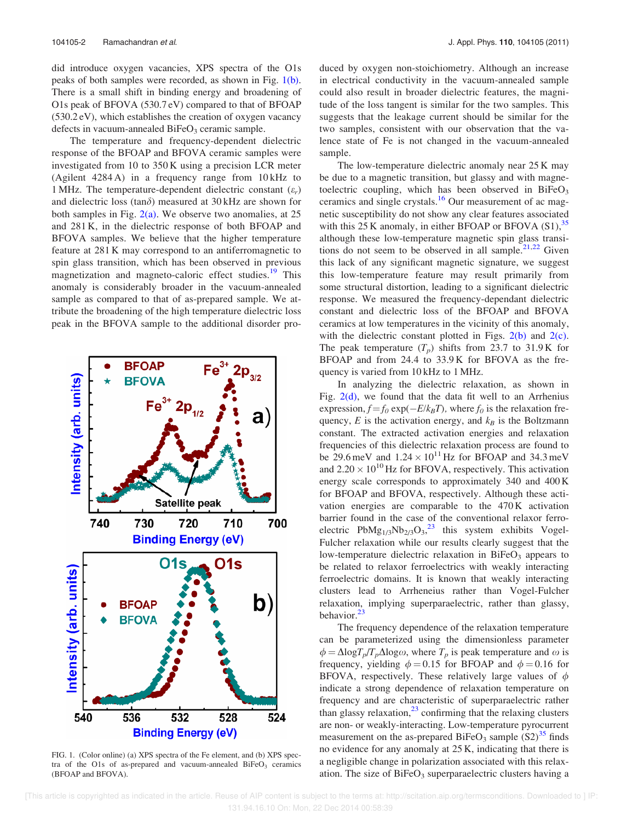did introduce oxygen vacancies, XPS spectra of the O1s peaks of both samples were recorded, as shown in Fig. 1(b). There is a small shift in binding energy and broadening of O1s peak of BFOVA (530.7 eV) compared to that of BFOAP (530.2 eV), which establishes the creation of oxygen vacancy defects in vacuum-annealed  $BiFeO<sub>3</sub>$  ceramic sample.

The temperature and frequency-dependent dielectric response of the BFOAP and BFOVA ceramic samples were investigated from 10 to 350 K using a precision LCR meter (Agilent 4284 A) in a frequency range from 10 kHz to 1 MHz. The temperature-dependent dielectric constant  $(\varepsilon_r)$ and dielectric loss (tan $\delta$ ) measured at 30 kHz are shown for both samples in Fig.  $2(a)$ . We observe two anomalies, at 25 and 281 K, in the dielectric response of both BFOAP and BFOVA samples. We believe that the higher temperature feature at 281 K may correspond to an antiferromagnetic to spin glass transition, which has been observed in previous magnetization and magneto-caloric effect studies.<sup>19</sup> This anomaly is considerably broader in the vacuum-annealed sample as compared to that of as-prepared sample. We attribute the broadening of the high temperature dielectric loss peak in the BFOVA sample to the additional disorder pro-



FIG. 1. (Color online) (a) XPS spectra of the Fe element, and (b) XPS spectra of the O1s of as-prepared and vacuum-annealed  $BiFeO<sub>3</sub>$  ceramics (BFOAP and BFOVA).

duced by oxygen non-stoichiometry. Although an increase in electrical conductivity in the vacuum-annealed sample could also result in broader dielectric features, the magnitude of the loss tangent is similar for the two samples. This suggests that the leakage current should be similar for the two samples, consistent with our observation that the valence state of Fe is not changed in the vacuum-annealed sample.

The low-temperature dielectric anomaly near 25 K may be due to a magnetic transition, but glassy and with magnetoelectric coupling, which has been observed in  $BiFeO<sub>3</sub>$ ceramics and single crystals.<sup>16</sup> Our measurement of ac magnetic susceptibility do not show any clear features associated with this  $25$  K anomaly, in either BFOAP or BFOVA (S1),  $35$ although these low-temperature magnetic spin glass transitions do not seem to be observed in all sample. $2^{1,22}$  Given this lack of any significant magnetic signature, we suggest this low-temperature feature may result primarily from some structural distortion, leading to a significant dielectric response. We measured the frequency-dependant dielectric constant and dielectric loss of the BFOAP and BFOVA ceramics at low temperatures in the vicinity of this anomaly, with the dielectric constant plotted in Figs.  $2(b)$  and  $2(c)$ . The peak temperature  $(T_p)$  shifts from 23.7 to 31.9 K for BFOAP and from 24.4 to 33.9 K for BFOVA as the frequency is varied from 10 kHz to 1 MHz.

In analyzing the dielectric relaxation, as shown in Fig.  $2(d)$ , we found that the data fit well to an Arrhenius expression,  $f = f_0 \exp(-E/k_B T)$ , where  $f_0$  is the relaxation frequency,  $E$  is the activation energy, and  $k_B$  is the Boltzmann constant. The extracted activation energies and relaxation frequencies of this dielectric relaxation process are found to be 29.6 meV and  $1.24 \times 10^{11}$  Hz for BFOAP and 34.3 meV and  $2.20 \times 10^{10}$  Hz for BFOVA, respectively. This activation energy scale corresponds to approximately 340 and 400 K for BFOAP and BFOVA, respectively. Although these activation energies are comparable to the 470 K activation barrier found in the case of the conventional relaxor ferroelectric  $PhMg_{1/3}Nb_{2/3}O_3$ ,<sup>23</sup> this system exhibits Vogel-Fulcher relaxation while our results clearly suggest that the low-temperature dielectric relaxation in  $BiFeO<sub>3</sub>$  appears to be related to relaxor ferroelectrics with weakly interacting ferroelectric domains. It is known that weakly interacting clusters lead to Arrheneius rather than Vogel-Fulcher relaxation, implying superparaelectric, rather than glassy, behavior.<sup>23</sup>

The frequency dependence of the relaxation temperature can be parameterized using the dimensionless parameter  $\phi = \Delta \log T_p / T_p \Delta \log \omega$ , where  $T_p$  is peak temperature and  $\omega$  is frequency, yielding  $\phi = 0.15$  for BFOAP and  $\phi = 0.16$  for BFOVA, respectively. These relatively large values of  $\phi$ indicate a strong dependence of relaxation temperature on frequency and are characteristic of superparaelectric rather than glassy relaxation, $23$  confirming that the relaxing clusters are non- or weakly-interacting. Low-temperature pyrocurrent measurement on the as-prepared BiFeO<sub>3</sub> sample  $(S2)^{35}$  finds no evidence for any anomaly at 25 K, indicating that there is a negligible change in polarization associated with this relaxation. The size of  $BiFeO<sub>3</sub>$  superparaelectric clusters having a

 [This article is copyrighted as indicated in the article. Reuse of AIP content is subject to the terms at: http://scitation.aip.org/termsconditions. Downloaded to ] IP: 131.94.16.10 On: Mon, 22 Dec 2014 00:58:39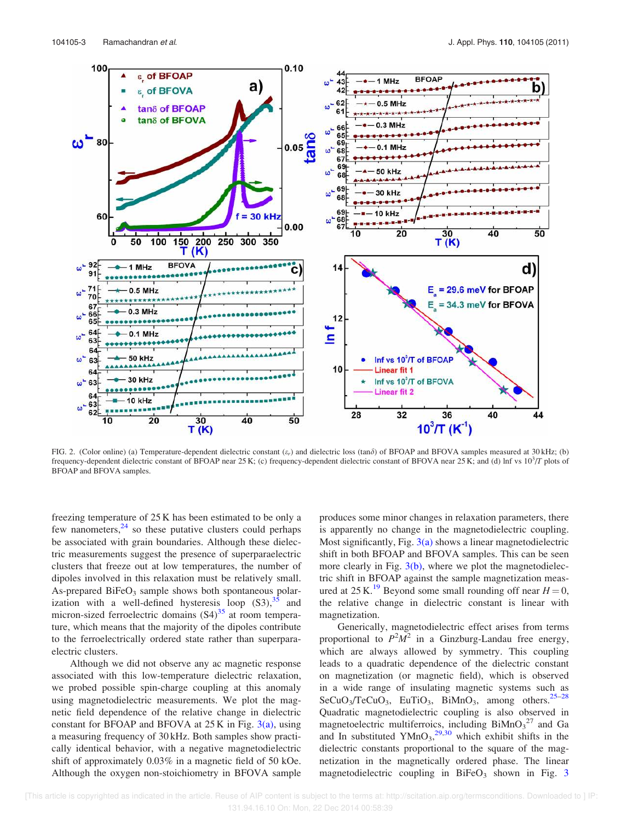

FIG. 2. (Color online) (a) Temperature-dependent dielectric constant  $(\varepsilon_r)$  and dielectric loss (tan $\delta$ ) of BFOAP and BFOVA samples measured at 30 kHz; (b) frequency-dependent dielectric constant of BFOAP near 25 K; (c) frequency-dependent dielectric constant of BFOVA near 25 K; and (d) lnf vs  $10<sup>3</sup>/T$  plots of BFOAP and BFOVA samples.

freezing temperature of 25 K has been estimated to be only a few nanometers, $^{24}$  so these putative clusters could perhaps be associated with grain boundaries. Although these dielectric measurements suggest the presence of superparaelectric clusters that freeze out at low temperatures, the number of dipoles involved in this relaxation must be relatively small. As-prepared  $BiFeO<sub>3</sub>$  sample shows both spontaneous polarization with a well-defined hysteresis loop  $(S3)$ ,  $35$  and micron-sized ferroelectric domains  $(S4)^{35}$  at room temperature, which means that the majority of the dipoles contribute to the ferroelectrically ordered state rather than superparaelectric clusters.

Although we did not observe any ac magnetic response associated with this low-temperature dielectric relaxation, we probed possible spin-charge coupling at this anomaly using magnetodielectric measurements. We plot the magnetic field dependence of the relative change in dielectric constant for BFOAP and BFOVA at  $25K$  in Fig.  $3(a)$ , using a measuring frequency of 30 kHz. Both samples show practically identical behavior, with a negative magnetodielectric shift of approximately 0.03% in a magnetic field of 50 kOe. Although the oxygen non-stoichiometry in BFOVA sample produces some minor changes in relaxation parameters, there is apparently no change in the magnetodielectric coupling. Most significantly, Fig.  $3(a)$  shows a linear magnetodielectric shift in both BFOAP and BFOVA samples. This can be seen more clearly in Fig.  $3(b)$ , where we plot the magnetodielectric shift in BFOAP against the sample magnetization measured at 25 K.<sup>19</sup> Beyond some small rounding off near  $H = 0$ , the relative change in dielectric constant is linear with magnetization.

Generically, magnetodielectric effect arises from terms proportional to  $P^2M^2$  in a Ginzburg-Landau free energy, which are always allowed by symmetry. This coupling leads to a quadratic dependence of the dielectric constant on magnetization (or magnetic field), which is observed in a wide range of insulating magnetic systems such as  $SeCuO<sub>3</sub>/TeCuO<sub>3</sub>$ , EuTiO<sub>3</sub>, BiMnO<sub>3</sub>, among others.<sup>25–28</sup> Quadratic magnetodielectric coupling is also observed in magnetoelectric multiferroics, including  $\text{BiMnO}_3^2$  and Ga and In substituted  $YMnO<sub>3</sub>,<sup>29,30</sup>$  which exhibit shifts in the dielectric constants proportional to the square of the magnetization in the magnetically ordered phase. The linear magnetodielectric coupling in  $BiFeO<sub>3</sub>$  shown in Fig. 3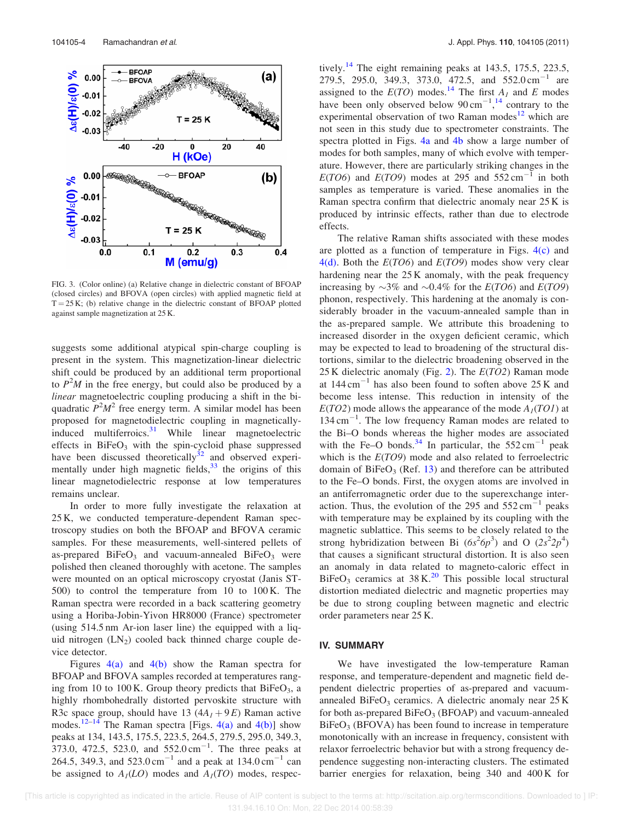

FIG. 3. (Color online) (a) Relative change in dielectric constant of BFOAP (closed circles) and BFOVA (open circles) with applied magnetic field at  $T = 25 K$ ; (b) relative change in the dielectric constant of BFOAP plotted against sample magnetization at 25 K.

suggests some additional atypical spin-charge coupling is present in the system. This magnetization-linear dielectric shift could be produced by an additional term proportional to  $P^2M$  in the free energy, but could also be produced by a linear magnetoelectric coupling producing a shift in the biquadratic  $P^2M^2$  free energy term. A similar model has been proposed for magnetodielectric coupling in magneticallyinduced multiferroics.<sup>31</sup> While linear magnetoelectric effects in  $BiFeO<sub>3</sub>$  with the spin-cycloid phase suppressed have been discussed theoretically<sup>32</sup> and observed experimentally under high magnetic fields,  $33$  the origins of this linear magnetodielectric response at low temperatures remains unclear.

In order to more fully investigate the relaxation at 25 K, we conducted temperature-dependent Raman spectroscopy studies on both the BFOAP and BFOVA ceramic samples. For these measurements, well-sintered pellets of as-prepared  $BiFeO<sub>3</sub>$  and vacuum-annealed  $BiFeO<sub>3</sub>$  were polished then cleaned thoroughly with acetone. The samples were mounted on an optical microscopy cryostat (Janis ST-500) to control the temperature from 10 to 100 K. The Raman spectra were recorded in a back scattering geometry using a Horiba-Jobin-Yivon HR8000 (France) spectrometer (using 514.5 nm Ar-ion laser line) the equipped with a liquid nitrogen (LN<sub>2</sub>) cooled back thinned charge couple device detector.

Figures  $4(a)$  and  $4(b)$  show the Raman spectra for BFOAP and BFOVA samples recorded at temperatures ranging from 10 to 100 K. Group theory predicts that  $BiFeO<sub>3</sub>$ , a highly rhombohedrally distorted pervoskite structure with R3c space group, should have 13  $(4A<sub>1</sub>+9E)$  Raman active modes.<sup>12–14</sup> The Raman spectra [Figs.  $4(a)$  and  $4(b)$ ] show peaks at 134, 143.5, 175.5, 223.5, 264.5, 279.5, 295.0, 349.3, 373.0, 472.5, 523.0, and 552.0 cm<sup>-1</sup>. The three peaks at 264.5, 349.3, and  $523.0 \text{ cm}^{-1}$  and a peak at  $134.0 \text{ cm}^{-1}$  can be assigned to  $A_I(LO)$  modes and  $A_I(TO)$  modes, respectively.<sup>14</sup> The eight remaining peaks at 143.5, 175.5, 223.5, 279.5, 295.0, 349.3, 373.0, 472.5, and 552.0 cm<sup>-1</sup> are assigned to the  $E(TO)$  modes.<sup>14</sup> The first  $A_I$  and E modes have been only observed below  $90 \text{ cm}^{-1}$ ,<sup>14</sup> contrary to the experimental observation of two Raman modes<sup>12</sup> which are not seen in this study due to spectrometer constraints. The spectra plotted in Figs. 4a and 4b show a large number of modes for both samples, many of which evolve with temperature. However, there are particularly striking changes in the  $E(TO6)$  and  $E(TO9)$  modes at 295 and 552 cm<sup>-1</sup> in both samples as temperature is varied. These anomalies in the Raman spectra confirm that dielectric anomaly near 25 K is produced by intrinsic effects, rather than due to electrode effects.

The relative Raman shifts associated with these modes are plotted as a function of temperature in Figs.  $4(c)$  and  $4(d)$ . Both the  $E(TO6)$  and  $E(TO9)$  modes show very clear hardening near the 25 K anomaly, with the peak frequency increasing by  $\sim$ 3% and  $\sim$ 0.4% for the  $E(TO6)$  and  $E(TO9)$ phonon, respectively. This hardening at the anomaly is considerably broader in the vacuum-annealed sample than in the as-prepared sample. We attribute this broadening to increased disorder in the oxygen deficient ceramic, which may be expected to lead to broadening of the structural distortions, similar to the dielectric broadening observed in the 25 K dielectric anomaly (Fig. 2). The  $E(TO2)$  Raman mode at  $144 \text{ cm}^{-1}$  has also been found to soften above 25 K and become less intense. This reduction in intensity of the  $E(TO2)$  mode allows the appearance of the mode  $A_I(TO1)$  at  $134 \text{ cm}^{-1}$ . The low frequency Raman modes are related to the Bi–O bonds whereas the higher modes are associated with the Fe–O bonds.<sup>34</sup> In particular, the  $552 \text{ cm}^{-1}$  peak which is the  $E(TO9)$  mode and also related to ferroelectric domain of  $BiFeO<sub>3</sub>$  (Ref. 13) and therefore can be attributed to the Fe–O bonds. First, the oxygen atoms are involved in an antiferromagnetic order due to the superexchange interaction. Thus, the evolution of the 295 and  $552 \text{ cm}^{-1}$  peaks with temperature may be explained by its coupling with the magnetic sublattice. This seems to be closely related to the strong hybridization between Bi  $(6s^26p^3)$  and O  $(2s^22p^4)$ that causes a significant structural distortion. It is also seen an anomaly in data related to magneto-caloric effect in  $BiFeO<sub>3</sub>$  ceramics at 38 K.<sup>20</sup> This possible local structural distortion mediated dielectric and magnetic properties may be due to strong coupling between magnetic and electric order parameters near 25 K.

#### IV. SUMMARY

We have investigated the low-temperature Raman response, and temperature-dependent and magnetic field dependent dielectric properties of as-prepared and vacuumannealed BiFeO<sub>3</sub> ceramics. A dielectric anomaly near  $25 K$ for both as-prepared BiFeO<sub>3</sub> (BFOAP) and vacuum-annealed  $BiFeO<sub>3</sub>$  (BFOVA) has been found to increase in temperature monotonically with an increase in frequency, consistent with relaxor ferroelectric behavior but with a strong frequency dependence suggesting non-interacting clusters. The estimated barrier energies for relaxation, being 340 and 400 K for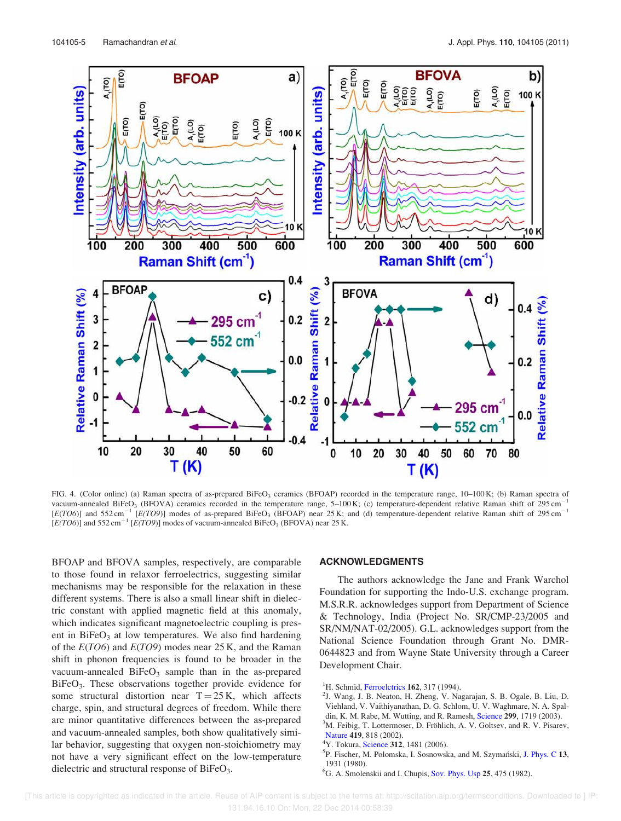

FIG. 4. (Color online) (a) Raman spectra of as-prepared BiFeO<sub>3</sub> ceramics (BFOAP) recorded in the temperature range, 10-100 K; (b) Raman spectra of vacuum-annealed BiFeO<sub>3</sub> (BFOVA) ceramics recorded in the temperature range, 5–100 K; (c) temperature-dependent relative Raman shift of 295 cm<sup>-1</sup> [E(TO6)] and 552 cm<sup>-1</sup> [E(TO9)] modes of as-prepared BiFeO<sub>3</sub> (BFOAP) near 25 K; and (d) temperature-dependent relative Raman shift of 295 cm<sup>-1</sup>  $[E(TO6)]$  and 552 cm<sup>-1</sup>  $[E(TO9)]$  modes of vacuum-annealed BiFeO<sub>3</sub> (BFOVA) near 25 K.

BFOAP and BFOVA samples, respectively, are comparable to those found in relaxor ferroelectrics, suggesting similar mechanisms may be responsible for the relaxation in these different systems. There is also a small linear shift in dielectric constant with applied magnetic field at this anomaly, which indicates significant magnetoelectric coupling is present in  $BiFeO<sub>3</sub>$  at low temperatures. We also find hardening of the  $E(TO6)$  and  $E(TO9)$  modes near 25 K, and the Raman shift in phonon frequencies is found to be broader in the vacuum-annealed  $BiFeO<sub>3</sub>$  sample than in the as-prepared BiFeO<sub>3</sub>. These observations together provide evidence for some structural distortion near  $T = 25$  K, which affects charge, spin, and structural degrees of freedom. While there are minor quantitative differences between the as-prepared and vacuum-annealed samples, both show qualitatively similar behavior, suggesting that oxygen non-stoichiometry may not have a very significant effect on the low-temperature dielectric and structural response of BiFeO<sub>3</sub>.

#### ACKNOWLEDGMENTS

The authors acknowledge the Jane and Frank Warchol Foundation for supporting the Indo-U.S. exchange program. M.S.R.R. acknowledges support from Department of Science & Technology, India (Project No. SR/CMP-23/2005 and SR/NM/NAT-02/2005). G.L. acknowledges support from the National Science Foundation through Grant No. DMR-0644823 and from Wayne State University through a Career Development Chair.

<sup>1</sup>H. Schmid, Ferroelctrics 162, 317 (1994).

- 2 J. Wang, J. B. Neaton, H. Zheng, V. Nagarajan, S. B. Ogale, B. Liu, D. Viehland, V. Vaithiyanathan, D. G. Schlom, U. V. Waghmare, N. A. Spaldin, K. M. Rabe, M. Wutting, and R. Ramesh, Science 299, 1719 (2003).
- $3<sup>3</sup>M$ . Feibig, T. Lottermoser, D. Fröhlich, A. V. Goltsev, and R. V. Pisarev, Nature 419, 818 (2002).
- <sup>4</sup>Y. Tokura, Science 312, 1481 (2006).
- <sup>5</sup>P. Fischer, M. Polomska, I. Sosnowska, and M. Szymański, J. Phys. C 13, 1931 (1980).
- ${}^{6}$ G. A. Smolenskii and I. Chupis, Sov. Phys. Usp 25, 475 (1982).